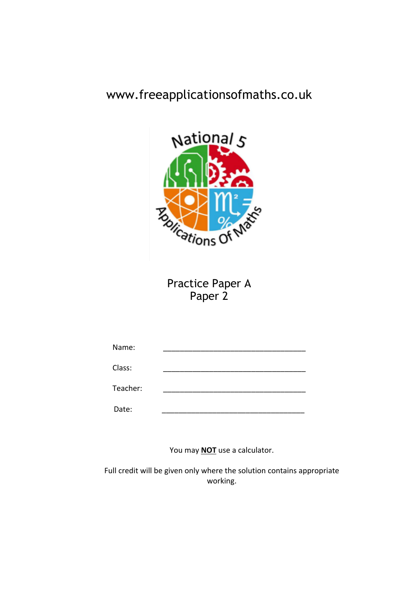## www.freeapplicationsofmaths.co.uk



Practice Paper A Paper 2

| Name:    |  |
|----------|--|
| Class:   |  |
| Teacher: |  |
| Date:    |  |

You may **NOT** use a calculator.

Full credit will be given only where the solution contains appropriate working.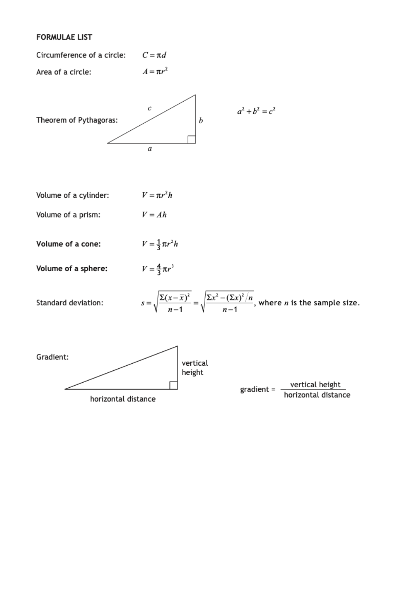### **FORMULAE LIST**

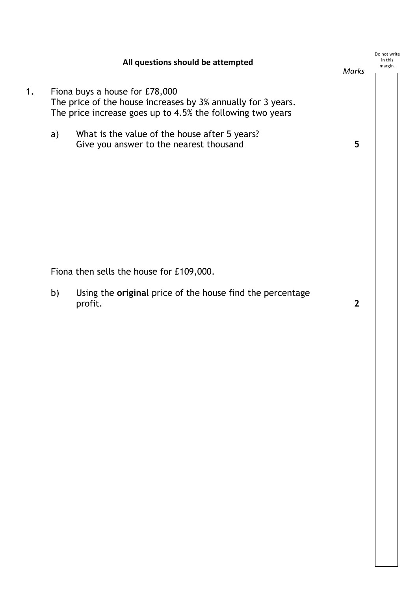|    |                                                                                                                                                              | All questions should be attempted                                                        | Marks          | Do not write<br>in this<br>margin. |
|----|--------------------------------------------------------------------------------------------------------------------------------------------------------------|------------------------------------------------------------------------------------------|----------------|------------------------------------|
| 1. | Fiona buys a house for £78,000<br>The price of the house increases by 3% annually for 3 years.<br>The price increase goes up to 4.5% the following two years |                                                                                          |                |                                    |
|    | a)                                                                                                                                                           | What is the value of the house after 5 years?<br>Give you answer to the nearest thousand | 5              |                                    |
|    |                                                                                                                                                              | Fiona then sells the house for £109,000.                                                 |                |                                    |
|    | b)                                                                                                                                                           | Using the original price of the house find the percentage<br>profit.                     | $\overline{2}$ |                                    |
|    |                                                                                                                                                              |                                                                                          |                |                                    |
|    |                                                                                                                                                              |                                                                                          |                |                                    |
|    |                                                                                                                                                              |                                                                                          |                |                                    |
|    |                                                                                                                                                              |                                                                                          |                |                                    |
|    |                                                                                                                                                              |                                                                                          |                |                                    |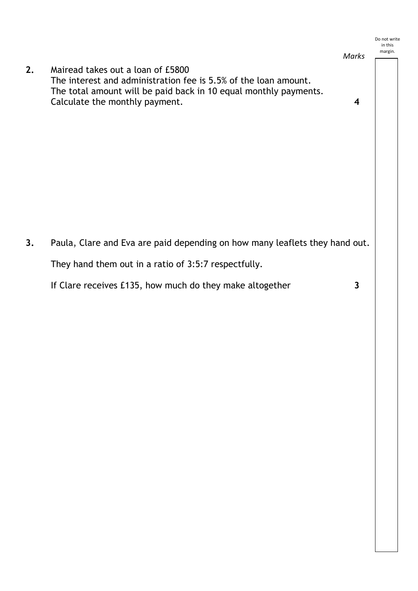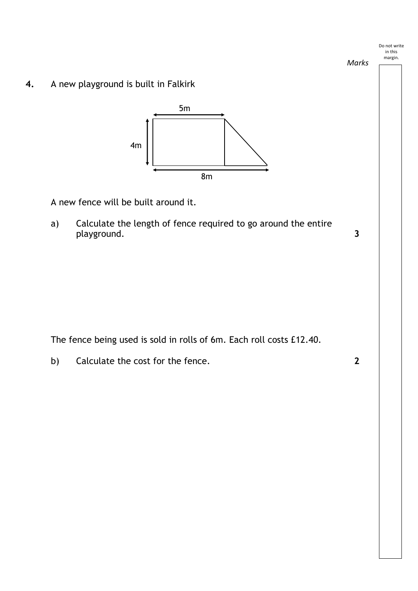

b) Calculate the cost for the fence. **2**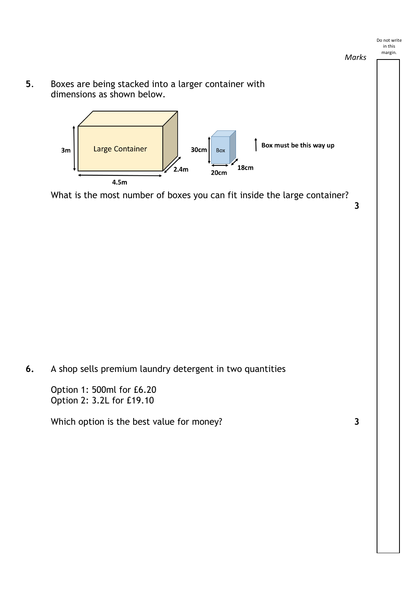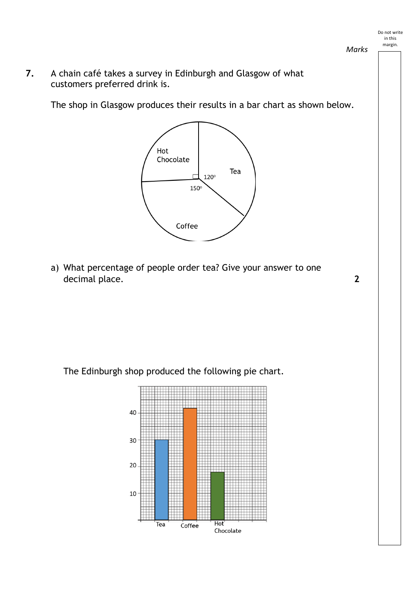*Marks*

**7.** A chain café takes a survey in Edinburgh and Glasgow of what customers preferred drink is.

The shop in Glasgow produces their results in a bar chart as shown below.



a) What percentage of people order tea? Give your answer to one decimal place. **2** 

The Edinburgh shop produced the following pie chart.



Do not write in this margin.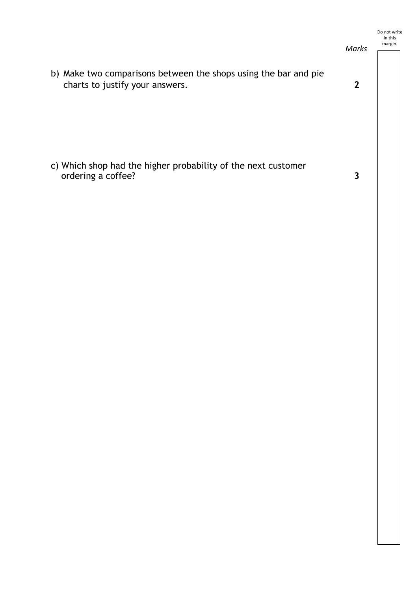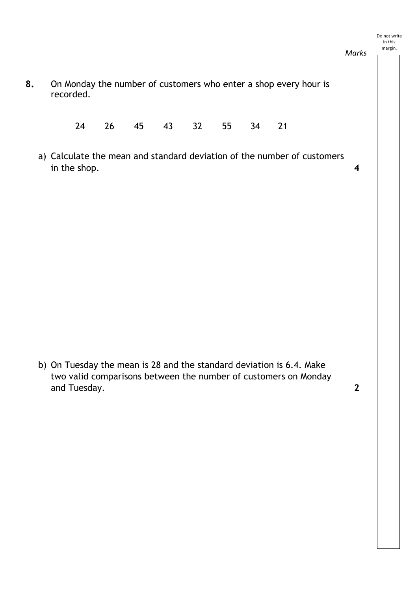#### Do not write in this margin.

*Marks*

**8.** On Monday the number of customers who enter a shop every hour is recorded.

24 26 45 43 32 55 34 21

a) Calculate the mean and standard deviation of the number of customers in the shop. **4**

b) On Tuesday the mean is 28 and the standard deviation is 6.4. Make two valid comparisons between the number of customers on Monday and Tuesday. **2**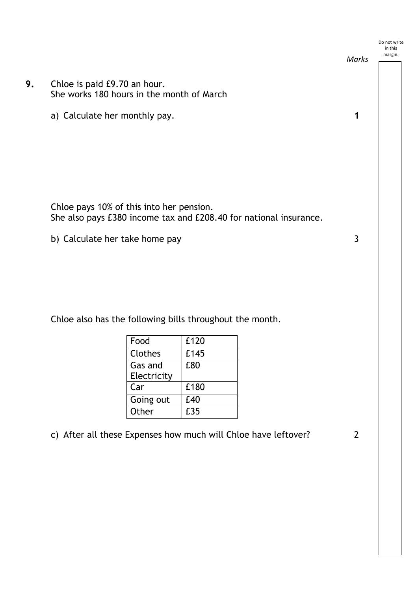

Chloe also has the following bills throughout the month.

| Food        | £120 |
|-------------|------|
| Clothes     | £145 |
| Gas and     | £80  |
| Electricity |      |
| Car         | £180 |
| Going out   | £40  |
| Other       | £35  |

c) After all these Expenses how much will Chloe have leftover? 2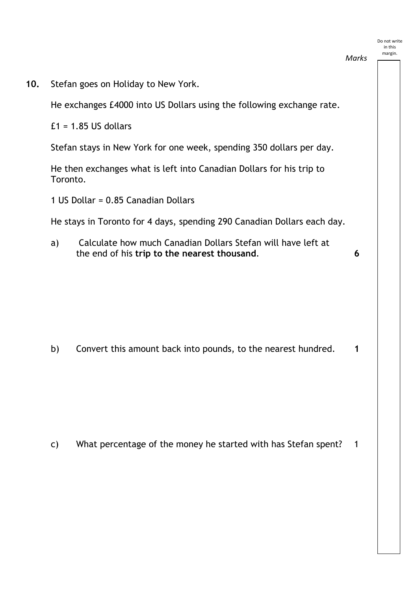# **10.** Stefan goes on Holiday to New York. He exchanges £4000 into US Dollars using the following exchange rate.  $£1 = 1.85$  US dollars Stefan stays in New York for one week, spending 350 dollars per day. He then exchanges what is left into Canadian Dollars for his trip to Toronto. 1 US Dollar = 0.85 Canadian Dollars He stays in Toronto for 4 days, spending 290 Canadian Dollars each day. a) Calculate how much Canadian Dollars Stefan will have left at the end of his **trip to the nearest thousand**. **6** b) Convert this amount back into pounds, to the nearest hundred. **1** in this margin. *Marks*

Do not write

c) What percentage of the money he started with has Stefan spent? 1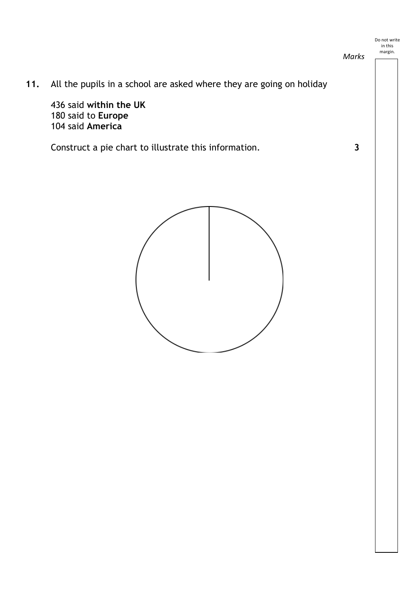